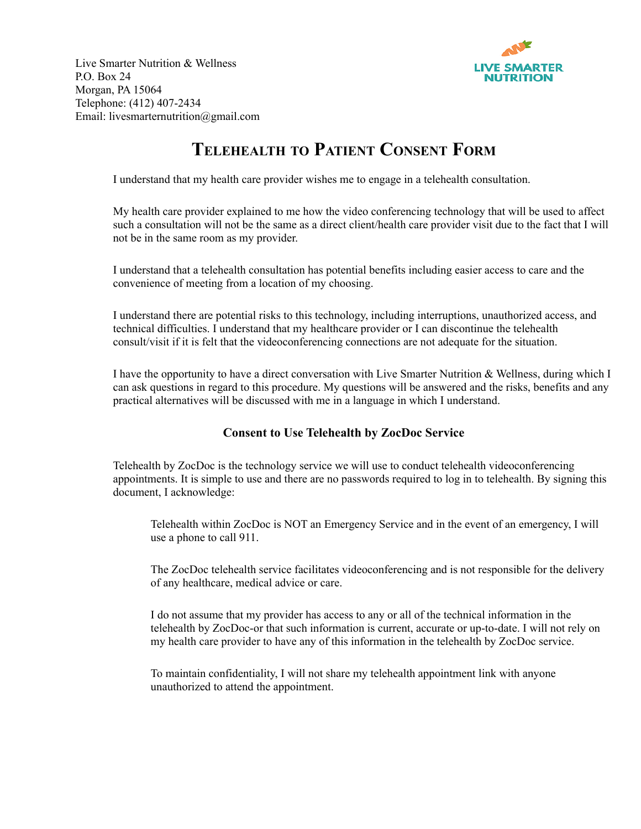

Live Smarter Nutrition & Wellness P.O. Box 24 Morgan, PA 15064 Telephone: (412) 407-2434 Email: livesmarternutrition@gmail.com

## **TELEHEALTH TO PATIENT CONSENT FORM**

I understand that my health care provider wishes me to engage in a telehealth consultation.

My health care provider explained to me how the video conferencing technology that will be used to affect such a consultation will not be the same as a direct client/health care provider visit due to the fact that I will not be in the same room as my provider.

I understand that a telehealth consultation has potential benefits including easier access to care and the convenience of meeting from a location of my choosing.

I understand there are potential risks to this technology, including interruptions, unauthorized access, and technical difficulties. I understand that my healthcare provider or I can discontinue the telehealth consult/visit if it is felt that the videoconferencing connections are not adequate for the situation.

I have the opportunity to have a direct conversation with Live Smarter Nutrition & Wellness, during which I can ask questions in regard to this procedure. My questions will be answered and the risks, benefits and any practical alternatives will be discussed with me in a language in which I understand.

## **Consent to Use Telehealth by ZocDoc Service**

Telehealth by ZocDoc is the technology service we will use to conduct telehealth videoconferencing appointments. It is simple to use and there are no passwords required to log in to telehealth. By signing this document, I acknowledge:

Telehealth within ZocDoc is NOT an Emergency Service and in the event of an emergency, I will use a phone to call 911.

The ZocDoc telehealth service facilitates videoconferencing and is not responsible for the delivery of any healthcare, medical advice or care.

I do not assume that my provider has access to any or all of the technical information in the telehealth by ZocDoc-or that such information is current, accurate or up-to-date. I will not rely on my health care provider to have any of this information in the telehealth by ZocDoc service.

To maintain confidentiality, I will not share my telehealth appointment link with anyone unauthorized to attend the appointment.